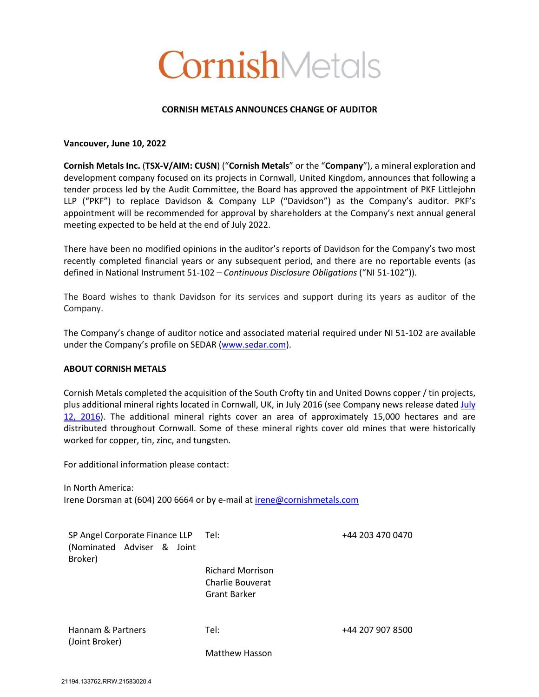# CornishMetals

### **CORNISH METALS ANNOUNCES CHANGE OF AUDITOR**

#### **Vancouver, June 10, 2022**

**Cornish Metals Inc.** (**TSX-V/AIM: CUSN**) ("**Cornish Metals**" or the "**Company**"), a mineral exploration and development company focused on its projects in Cornwall, United Kingdom, announces that following a tender process led by the Audit Committee, the Board has approved the appointment of PKF Littlejohn LLP ("PKF") to replace Davidson & Company LLP ("Davidson") as the Company's auditor. PKF's appointment will be recommended for approval by shareholders at the Company's next annual general meeting expected to be held at the end of July 2022.

There have been no modified opinions in the auditor's reports of Davidson for the Company's two most recently completed financial years or any subsequent period, and there are no reportable events (as defined in National Instrument 51-102 – *Continuous Disclosure Obligations* ("NI 51-102")).

The Board wishes to thank Davidson for its services and support during its years as auditor of the Company.

The Company's change of auditor notice and associated material required under NI 51-102 are available under the Company's profile on SEDAR (www.sedar.com).

#### **ABOUT CORNISH METALS**

Cornish Metals completed the acquisition of the South Crofty tin and United Downs copper / tin projects, plus additional mineral rights located in Cornwall, UK, in July 2016 (see Company news release dated July 12, 2016). The additional mineral rights cover an area of approximately 15,000 hectares and are distributed throughout Cornwall. Some of these mineral rights cover old mines that were historically worked for copper, tin, zinc, and tungsten.

For additional information please contact:

In North America: Irene Dorsman at (604) 200 6664 or by e-mail at irene@cornishmetals.com

| SP Angel Corporate Finance LLP Tel: |                         | +44 203 470 0470 |
|-------------------------------------|-------------------------|------------------|
| (Nominated Adviser & Joint          |                         |                  |
| Broker)                             |                         |                  |
|                                     | <b>Richard Morrison</b> |                  |
|                                     | Charlie Bouverat        |                  |
|                                     | <b>Grant Barker</b>     |                  |
| Hannam & Partners                   | Tel:                    | +44 207 907 8500 |
| (Joint Broker)                      |                         |                  |

Matthew Hasson